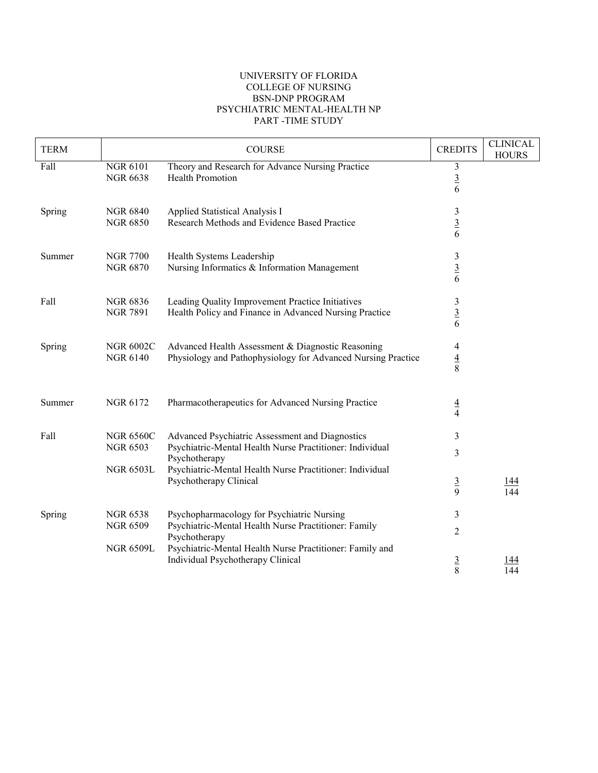## UNIVERSITY OF FLORIDA COLLEGE OF NURSING BSN-DNP PROGRAM PSYCHIATRIC MENTAL-HEALTH NP PART -TIME STUDY

| <b>TERM</b> |                                                         | <b>COURSE</b>                                                                                                                                                                            | <b>CREDITS</b>                  | <b>CLINICAL</b><br><b>HOURS</b> |
|-------------|---------------------------------------------------------|------------------------------------------------------------------------------------------------------------------------------------------------------------------------------------------|---------------------------------|---------------------------------|
| Fall        | NGR 6101<br><b>NGR 6638</b>                             | Theory and Research for Advance Nursing Practice<br><b>Health Promotion</b>                                                                                                              | $\mathfrak{Z}$<br>$\frac{3}{6}$ |                                 |
| Spring      | <b>NGR 6840</b><br><b>NGR 6850</b>                      | Applied Statistical Analysis I<br>Research Methods and Evidence Based Practice                                                                                                           | $\mathfrak{Z}$<br>$\frac{3}{6}$ |                                 |
| Summer      | <b>NGR 7700</b><br><b>NGR 6870</b>                      | Health Systems Leadership<br>Nursing Informatics & Information Management                                                                                                                | 3<br>$\frac{3}{6}$              |                                 |
| Fall        | <b>NGR 6836</b><br><b>NGR 7891</b>                      | Leading Quality Improvement Practice Initiatives<br>Health Policy and Finance in Advanced Nursing Practice                                                                               | $\mathfrak{Z}$<br>$\frac{3}{6}$ |                                 |
| Spring      | <b>NGR 6002C</b><br><b>NGR 6140</b>                     | Advanced Health Assessment & Diagnostic Reasoning<br>Physiology and Pathophysiology for Advanced Nursing Practice                                                                        | 4<br>$\frac{4}{8}$              |                                 |
| Summer      | <b>NGR 6172</b>                                         | Pharmacotherapeutics for Advanced Nursing Practice                                                                                                                                       | $\frac{4}{4}$                   |                                 |
| Fall        | <b>NGR 6560C</b><br><b>NGR 6503</b><br><b>NGR 6503L</b> | Advanced Psychiatric Assessment and Diagnostics<br>Psychiatric-Mental Health Nurse Practitioner: Individual<br>Psychotherapy<br>Psychiatric-Mental Health Nurse Practitioner: Individual | 3<br>3                          |                                 |
|             |                                                         | Psychotherapy Clinical                                                                                                                                                                   | $\overline{3}$<br>9             | <u> 144</u><br>144              |
| Spring      | <b>NGR 6538</b><br><b>NGR 6509</b>                      | Psychopharmacology for Psychiatric Nursing<br>Psychiatric-Mental Health Nurse Practitioner: Family<br>Psychotherapy                                                                      | 3<br>$\overline{2}$             |                                 |
|             | <b>NGR 6509L</b>                                        | Psychiatric-Mental Health Nurse Practitioner: Family and<br>Individual Psychotherapy Clinical                                                                                            | $rac{3}{8}$                     | 144                             |